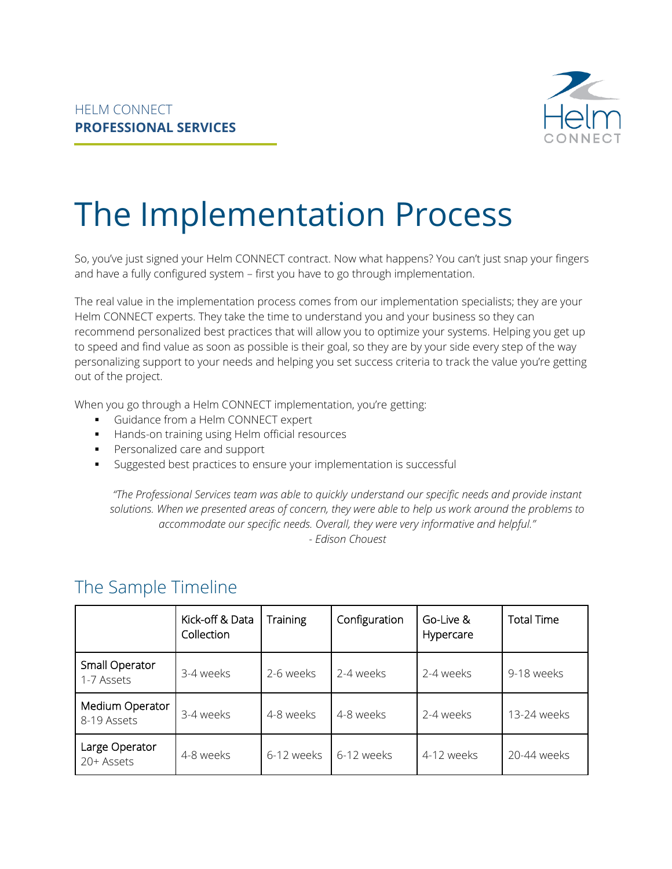

# The Implementation Process

So, you've just signed your Helm CONNECT contract. Now what happens? You can't just snap your fingers and have a fully configured system – first you have to go through implementation.

The real value in the implementation process comes from our implementation specialists; they are your Helm CONNECT experts. They take the time to understand you and your business so they can recommend personalized best practices that will allow you to optimize your systems. Helping you get up to speed and find value as soon as possible is their goal, so they are by your side every step of the way personalizing support to your needs and helping you set success criteria to track the value you're getting out of the project.

When you go through a Helm CONNECT implementation, you're getting:

- Guidance from a Helm CONNECT expert
- Hands-on training using Helm official resources
- **•** Personalized care and support
- Suggested best practices to ensure your implementation is successful

*"The Professional Services team was able to quickly understand our specific needs and provide instant solutions. When we presented areas of concern, they were able to help us work around the problems to accommodate our specific needs. Overall, they were very informative and helpful." - Edison Chouest*

|                                | Kick-off & Data<br>Collection | <b>Training</b> | Configuration | Go-Live &<br>Hypercare | <b>Total Time</b> |
|--------------------------------|-------------------------------|-----------------|---------------|------------------------|-------------------|
| Small Operator<br>1-7 Assets   | 3-4 weeks                     | 2-6 weeks       | 2-4 weeks     | 2-4 weeks              | 9-18 weeks        |
| Medium Operator<br>8-19 Assets | 3-4 weeks                     | 4-8 weeks       | 4-8 weeks     | 2-4 weeks              | 13-24 weeks       |
| Large Operator<br>20+ Assets   | 4-8 weeks                     | 6-12 weeks      | 6-12 weeks    | 4-12 weeks             | 20-44 weeks       |

#### The Sample Timeline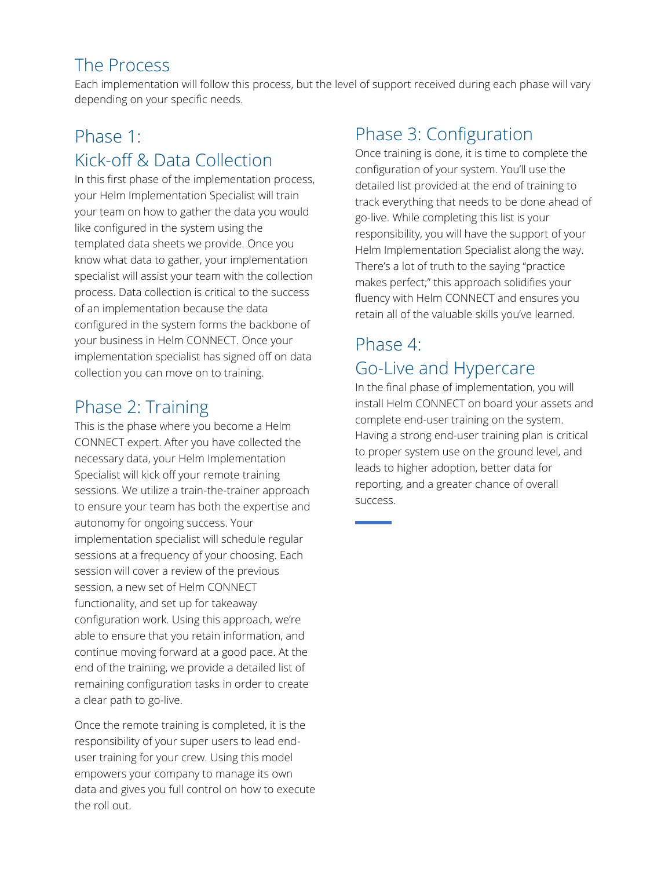#### The Process

Each implementation will follow this process, but the level of support received during each phase will vary depending on your specific needs.

## Phase 1: Kick-off & Data Collection

In this first phase of the implementation process, your Helm Implementation Specialist will train your team on how to gather the data you would like configured in the system using the templated data sheets we provide. Once you know what data to gather, your implementation specialist will assist your team with the collection process. Data collection is critical to the success of an implementation because the data configured in the system forms the backbone of your business in Helm CONNECT. Once your implementation specialist has signed off on data collection you can move on to training.

## Phase 2: Training

This is the phase where you become a Helm CONNECT expert. After you have collected the necessary data, your Helm Implementation Specialist will kick off your remote training sessions. We utilize a train-the-trainer approach to ensure your team has both the expertise and autonomy for ongoing success. Your implementation specialist will schedule regular sessions at a frequency of your choosing. Each session will cover a review of the previous session, a new set of Helm CONNECT functionality, and set up for takeaway configuration work. Using this approach, we're able to ensure that you retain information, and continue moving forward at a good pace. At the end of the training, we provide a detailed list of remaining configuration tasks in order to create a clear path to go-live.

Once the remote training is completed, it is the responsibility of your super users to lead enduser training for your crew. Using this model empowers your company to manage its own data and gives you full control on how to execute the roll out.

## Phase 3: Configuration

Once training is done, it is time to complete the configuration of your system. You'll use the detailed list provided at the end of training to track everything that needs to be done ahead of go-live. While completing this list is your responsibility, you will have the support of your Helm Implementation Specialist along the way. There's a lot of truth to the saying "practice makes perfect;" this approach solidifies your fluency with Helm CONNECT and ensures you retain all of the valuable skills you've learned.

#### Phase 4: Go-Live and Hypercare

In the final phase of implementation, you will install Helm CONNECT on board your assets and complete end-user training on the system. Having a strong end-user training plan is critical to proper system use on the ground level, and leads to higher adoption, better data for reporting, and a greater chance of overall success.